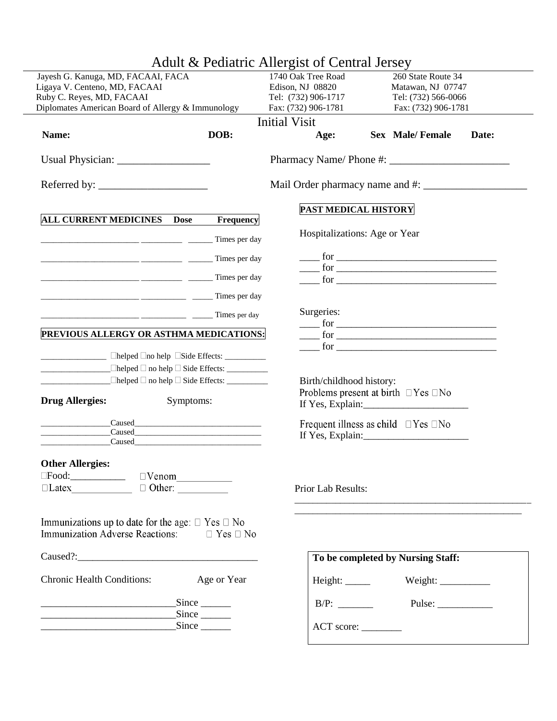|                                    | Adult & Pediatric Allergist of Central Jersey                                                                          |                               |                                                                                                                                                                                                                                                                                                                                                                                                                      |  |  |  |  |
|------------------------------------|------------------------------------------------------------------------------------------------------------------------|-------------------------------|----------------------------------------------------------------------------------------------------------------------------------------------------------------------------------------------------------------------------------------------------------------------------------------------------------------------------------------------------------------------------------------------------------------------|--|--|--|--|
| Jayesh G. Kanuga, MD, FACAAI, FACA |                                                                                                                        | 1740 Oak Tree Road            | 260 State Route 34                                                                                                                                                                                                                                                                                                                                                                                                   |  |  |  |  |
| Ligaya V. Centeno, MD, FACAAI      |                                                                                                                        | Edison, NJ 08820              | Matawan, NJ 07747                                                                                                                                                                                                                                                                                                                                                                                                    |  |  |  |  |
| Ruby C. Reyes, MD, FACAAI          |                                                                                                                        | Tel: (732) 906-1717           | Tel: (732) 566-0066                                                                                                                                                                                                                                                                                                                                                                                                  |  |  |  |  |
|                                    | Diplomates American Board of Allergy & Immunology                                                                      | Fax: (732) 906-1781           | Fax: (732) 906-1781                                                                                                                                                                                                                                                                                                                                                                                                  |  |  |  |  |
|                                    |                                                                                                                        | <b>Initial Visit</b>          |                                                                                                                                                                                                                                                                                                                                                                                                                      |  |  |  |  |
| Name:                              | DOB:                                                                                                                   | Age:                          | <b>Sex Male/Female</b><br>Date:                                                                                                                                                                                                                                                                                                                                                                                      |  |  |  |  |
|                                    |                                                                                                                        |                               |                                                                                                                                                                                                                                                                                                                                                                                                                      |  |  |  |  |
|                                    |                                                                                                                        |                               |                                                                                                                                                                                                                                                                                                                                                                                                                      |  |  |  |  |
|                                    |                                                                                                                        |                               | PAST MEDICAL HISTORY                                                                                                                                                                                                                                                                                                                                                                                                 |  |  |  |  |
| <b>ALL CURRENT MEDICINES</b>       | Frequency<br><b>Dose</b>                                                                                               |                               |                                                                                                                                                                                                                                                                                                                                                                                                                      |  |  |  |  |
|                                    | Times per day                                                                                                          | Hospitalizations: Age or Year |                                                                                                                                                                                                                                                                                                                                                                                                                      |  |  |  |  |
|                                    | Times per day                                                                                                          |                               | $\frac{1}{\sqrt{1-\frac{1}{2}}}\int_0^1 f(x) \frac{f(x)}{f(x)} dx$                                                                                                                                                                                                                                                                                                                                                   |  |  |  |  |
|                                    | <b>CONSERVANCE CONSERVANCE CONSERVANCE CONSERVANCE CONSERVANCE CONSERVANCE CONSERVANCE CONSERVANCE CONSERVANCE CON</b> |                               | $\frac{1}{2}$ for $\frac{1}{2}$ for $\frac{1}{2}$ for $\frac{1}{2}$ for $\frac{1}{2}$ for $\frac{1}{2}$ for $\frac{1}{2}$ for $\frac{1}{2}$ for $\frac{1}{2}$ for $\frac{1}{2}$ for $\frac{1}{2}$ for $\frac{1}{2}$ for $\frac{1}{2}$ for $\frac{1}{2}$ for $\frac{1}{2}$ for $\frac{1}{2}$ f<br>$\frac{1}{2}$ for $\frac{1}{2}$                                                                                     |  |  |  |  |
|                                    | <b>Times</b> per day                                                                                                   |                               |                                                                                                                                                                                                                                                                                                                                                                                                                      |  |  |  |  |
|                                    | $\frac{1}{2}$ Times per day                                                                                            | Surgeries:                    |                                                                                                                                                                                                                                                                                                                                                                                                                      |  |  |  |  |
|                                    | PREVIOUS ALLERGY OR ASTHMA MEDICATIONS:                                                                                |                               | $\frac{1}{2}$ for $\frac{1}{2}$ for $\frac{1}{2}$ for $\frac{1}{2}$ for $\frac{1}{2}$ for $\frac{1}{2}$ for $\frac{1}{2}$ for $\frac{1}{2}$ for $\frac{1}{2}$ for $\frac{1}{2}$ for $\frac{1}{2}$ for $\frac{1}{2}$ for $\frac{1}{2}$ for $\frac{1}{2}$ for $\frac{1}{2}$ for $\frac{1}{2}$ f                                                                                                                        |  |  |  |  |
|                                    |                                                                                                                        |                               | $\frac{1}{\sqrt{1-\frac{1}{2}}\sqrt{1-\frac{1}{2}}\sqrt{1-\frac{1}{2}}\sqrt{1-\frac{1}{2}}\sqrt{1-\frac{1}{2}}\sqrt{1-\frac{1}{2}}\sqrt{1-\frac{1}{2}}\sqrt{1-\frac{1}{2}}\sqrt{1-\frac{1}{2}}\sqrt{1-\frac{1}{2}}\sqrt{1-\frac{1}{2}}\sqrt{1-\frac{1}{2}}\sqrt{1-\frac{1}{2}}\sqrt{1-\frac{1}{2}}\sqrt{1-\frac{1}{2}}\sqrt{1-\frac{1}{2}}\sqrt{1-\frac{1}{2}}\sqrt{1-\frac{1}{2}}\sqrt{1-\frac{1}{2}}\sqrt{1-\frac$ |  |  |  |  |
|                                    | $\Box$ helped $\Box$ no help $\Box$ Side Effects: $\Box$                                                               |                               |                                                                                                                                                                                                                                                                                                                                                                                                                      |  |  |  |  |
|                                    |                                                                                                                        |                               |                                                                                                                                                                                                                                                                                                                                                                                                                      |  |  |  |  |
|                                    |                                                                                                                        | Birth/childhood history:      |                                                                                                                                                                                                                                                                                                                                                                                                                      |  |  |  |  |
| <b>Drug Allergies:</b>             | Symptoms:                                                                                                              |                               | Problems present at birth $\Box$ Yes $\Box$ No<br>If Yes, Explain:                                                                                                                                                                                                                                                                                                                                                   |  |  |  |  |
| the control of the control of the  |                                                                                                                        |                               | Frequent illness as child $\Box$ Yes $\Box$ No                                                                                                                                                                                                                                                                                                                                                                       |  |  |  |  |
|                                    |                                                                                                                        |                               |                                                                                                                                                                                                                                                                                                                                                                                                                      |  |  |  |  |
|                                    | <b>Caused Caused Caused Caused Caused</b>                                                                              |                               |                                                                                                                                                                                                                                                                                                                                                                                                                      |  |  |  |  |
| <b>Other Allergies:</b>            |                                                                                                                        |                               |                                                                                                                                                                                                                                                                                                                                                                                                                      |  |  |  |  |
|                                    | $\square$ Food: $\square$ $\square$ $\vee$ $\square$ $\square$ $\square$ $\square$ $\square$ $\square$                 |                               |                                                                                                                                                                                                                                                                                                                                                                                                                      |  |  |  |  |
|                                    | $\Box$ Latex $\Box$ $\Box$ Other:                                                                                      | Prior Lab Results:            |                                                                                                                                                                                                                                                                                                                                                                                                                      |  |  |  |  |
|                                    |                                                                                                                        |                               |                                                                                                                                                                                                                                                                                                                                                                                                                      |  |  |  |  |
|                                    |                                                                                                                        |                               |                                                                                                                                                                                                                                                                                                                                                                                                                      |  |  |  |  |
|                                    | Immunizations up to date for the age: $\Box$ Yes $\Box$ No                                                             |                               |                                                                                                                                                                                                                                                                                                                                                                                                                      |  |  |  |  |
|                                    | Immunization Adverse Reactions: □ Yes □ No                                                                             |                               |                                                                                                                                                                                                                                                                                                                                                                                                                      |  |  |  |  |
|                                    |                                                                                                                        |                               | To be completed by Nursing Staff:                                                                                                                                                                                                                                                                                                                                                                                    |  |  |  |  |
| <b>Chronic Health Conditions:</b>  | Age or Year                                                                                                            |                               |                                                                                                                                                                                                                                                                                                                                                                                                                      |  |  |  |  |
|                                    |                                                                                                                        |                               |                                                                                                                                                                                                                                                                                                                                                                                                                      |  |  |  |  |
|                                    | $\text{Since }$<br>$Since \_\_$                                                                                        |                               | $B/P:$ Pulse:                                                                                                                                                                                                                                                                                                                                                                                                        |  |  |  |  |
|                                    | $\frac{\text{Since}}{\text{}}$                                                                                         |                               |                                                                                                                                                                                                                                                                                                                                                                                                                      |  |  |  |  |
|                                    |                                                                                                                        |                               |                                                                                                                                                                                                                                                                                                                                                                                                                      |  |  |  |  |